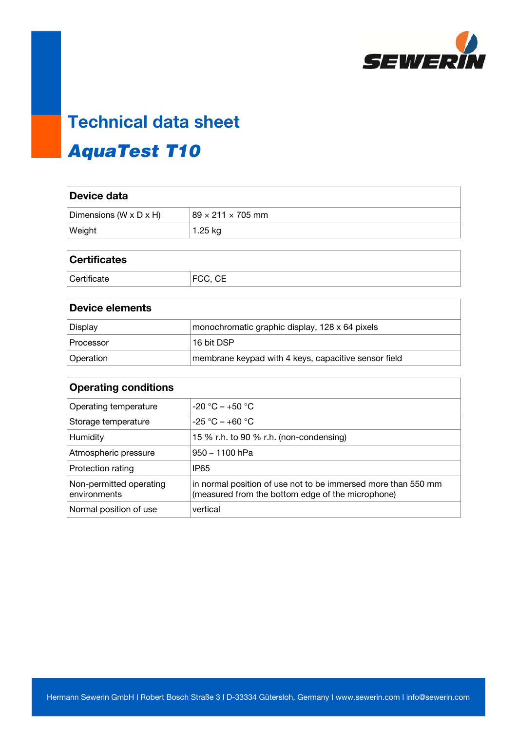

## **Technical data sheet**

## AquaTest T10

| Device data            |                               |
|------------------------|-------------------------------|
| Dimensions (W x D x H) | $89 \times 211 \times 705$ mm |
| Weight                 | $1.25$ kg                     |
|                        |                               |

| <b>Certificates</b> |         |
|---------------------|---------|
| Certificate         | FCC, CE |

| Device elements |                                                      |
|-----------------|------------------------------------------------------|
| Display         | monochromatic graphic display, 128 x 64 pixels       |
| Processor       | 16 bit DSP                                           |
| Operation       | membrane keypad with 4 keys, capacitive sensor field |

| <b>Operating conditions</b>             |                                                                                                                    |
|-----------------------------------------|--------------------------------------------------------------------------------------------------------------------|
| Operating temperature                   | $-20 °C - +50 °C$                                                                                                  |
| Storage temperature                     | $-25 °C - +60 °C$                                                                                                  |
| Humidity                                | 15 % r.h. to 90 % r.h. (non-condensing)                                                                            |
| Atmospheric pressure                    | $950 - 1100$ hPa                                                                                                   |
| Protection rating                       | IP <sub>65</sub>                                                                                                   |
| Non-permitted operating<br>environments | in normal position of use not to be immersed more than 550 mm<br>(measured from the bottom edge of the microphone) |
| Normal position of use                  | vertical                                                                                                           |